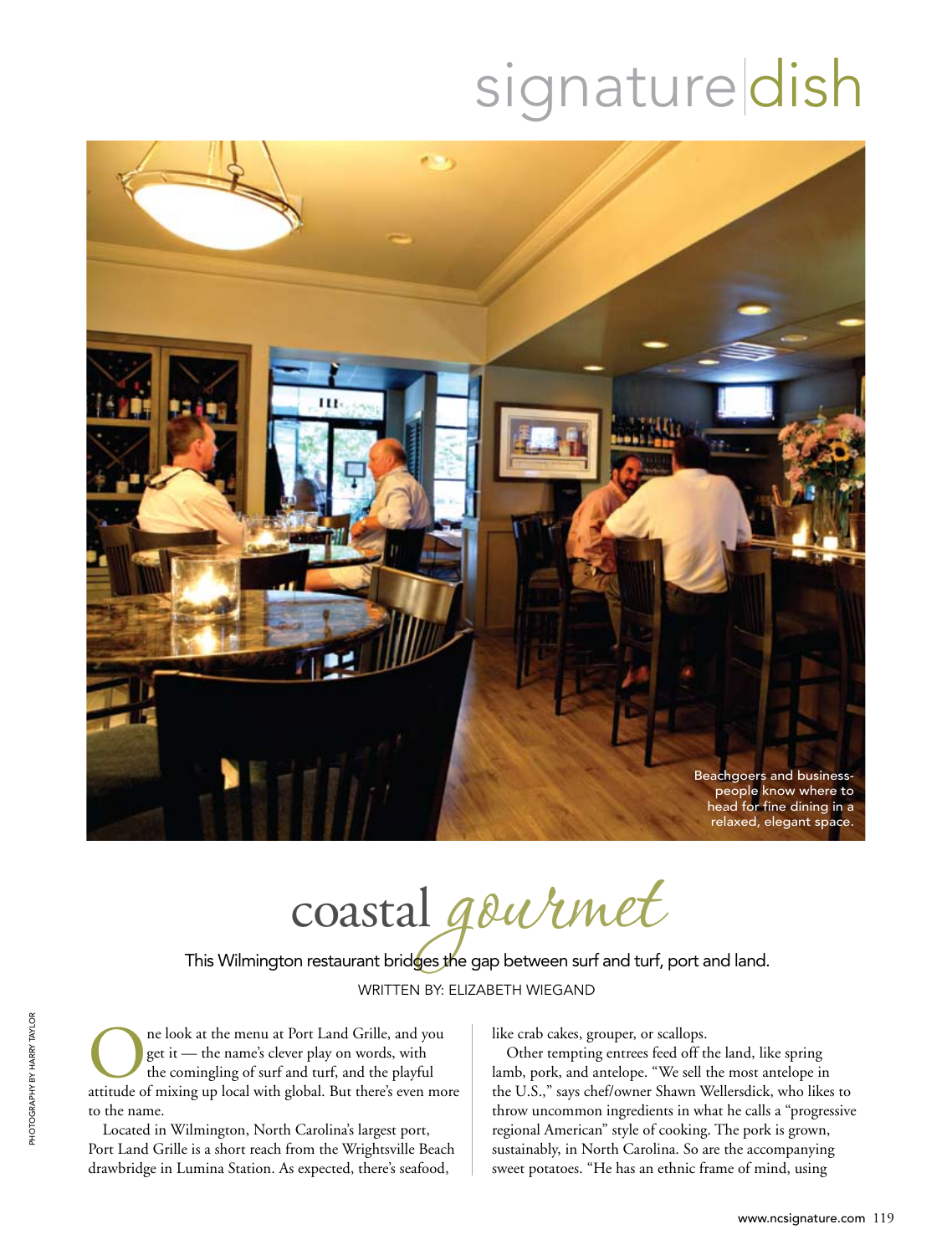# signaturedish



 $\cos$ coastal gournet

WRITTEN BY: ELIZABETH WIEGAND This Wilmington restaurant bridges the gap between surf and turf, port and land.

**ORES ARE ALLET AT A CONFIDENTIFY SET ASSESS**<br>The comingling of surf and turf, and the playful<br>attitude of mixing up local with global. But there's even mo get it — the name's clever play on words, with the comingling of surf and turf, and the playful attitude of mixing up local with global. But there's even more to the name.

Located in Wilmington, North Carolina's largest port, Port Land Grille is a short reach from the Wrightsville Beach drawbridge in Lumina Station. As expected, there's seafood,

like crab cakes, grouper, or scallops.

Other tempting entrees feed off the land, like spring lamb, pork, and antelope. "We sell the most antelope in the U.S.," says chef/owner Shawn Wellersdick, who likes to throw uncommon ingredients in what he calls a "progressive regional American" style of cooking. The pork is grown, sustainably, in North Carolina. So are the accompanying sweet potatoes. "He has an ethnic frame of mind, using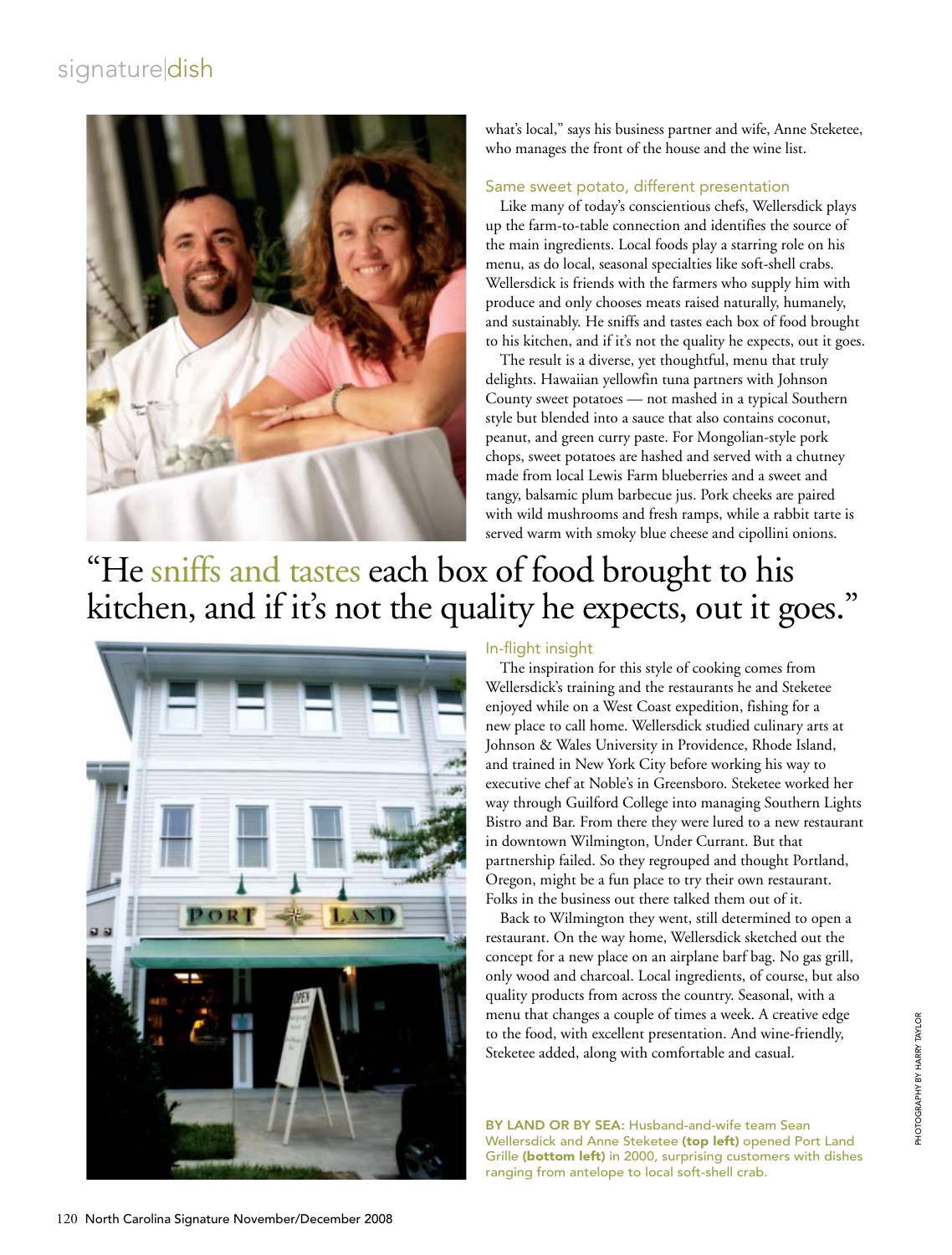# signaturedish



what's local," says his business partner and wife, Anne Steketee, who manages the front of the house and the wine list.

#### Same sweet potato, different presentation

Like many of today's conscientious chefs, Wellersdick plays up the farm-to-table connection and identifies the source of the main ingredients. Local foods play a starring role on his menu, as do local, seasonal specialties like soft-shell crabs. Wellersdick is friends with the farmers who supply him with produce and only chooses meats raised naturally, humanely, and sustainably. He sniffs and tastes each box of food brought to his kitchen, and if it's not the quality he expects, out it goes.

The result is a diverse, yet thoughtful, menu that truly delights. Hawaiian yellowfin tuna partners with Johnson County sweet potatoes — not mashed in a typical Southern style but blended into a sauce that also contains coconut, peanut, and green curry paste. For Mongolian-style pork chops, sweet potatoes are hashed and served with a chutney made from local Lewis Farm blueberries and a sweet and tangy, balsamic plum barbecue jus. Pork cheeks are paired with wild mushrooms and fresh ramps, while a rabbit tarte is served warm with smoky blue cheese and cipollini onions.

# "He sniffs and tastes each box of food brought to his kitchen, and if it's not the quality he expects, out it goes."



#### In-flight insight

The inspiration for this style of cooking comes from Wellersdick's training and the restaurants he and Steketee enjoyed while on a West Coast expedition, fishing for a new place to call home. Wellersdick studied culinary arts at Johnson & Wales University in Providence, Rhode Island, and trained in New York City before working his way to executive chef at Noble's in Greensboro. Steketee worked her way through Guilford College into managing Southern Lights Bistro and Bar. From there they were lured to a new restaurant in downtown Wilmington, Under Currant. But that partnership failed. So they regrouped and thought Portland, Oregon, might be a fun place to try their own restaurant. Folks in the business out there talked them out of it.

Back to Wilmington they went, still determined to open a restaurant. On the way home, Wellersdick sketched out the concept for a new place on an airplane barf bag. No gas grill, only wood and charcoal. Local ingredients, of course, but also quality products from across the country. Seasonal, with a menu that changes a couple of times a week. A creative edge to the food, with excellent presentation. And wine-friendly, Steketee added, along with comfortable and casual.

BY LAND OR BY SEA: Husband-and-wife team Sean Wellersdick and Anne Steketee (top left) opened Port Land Grille (bottom left) in 2000, surprising customers with dishes ranging from antelope to local soft-shell crab.